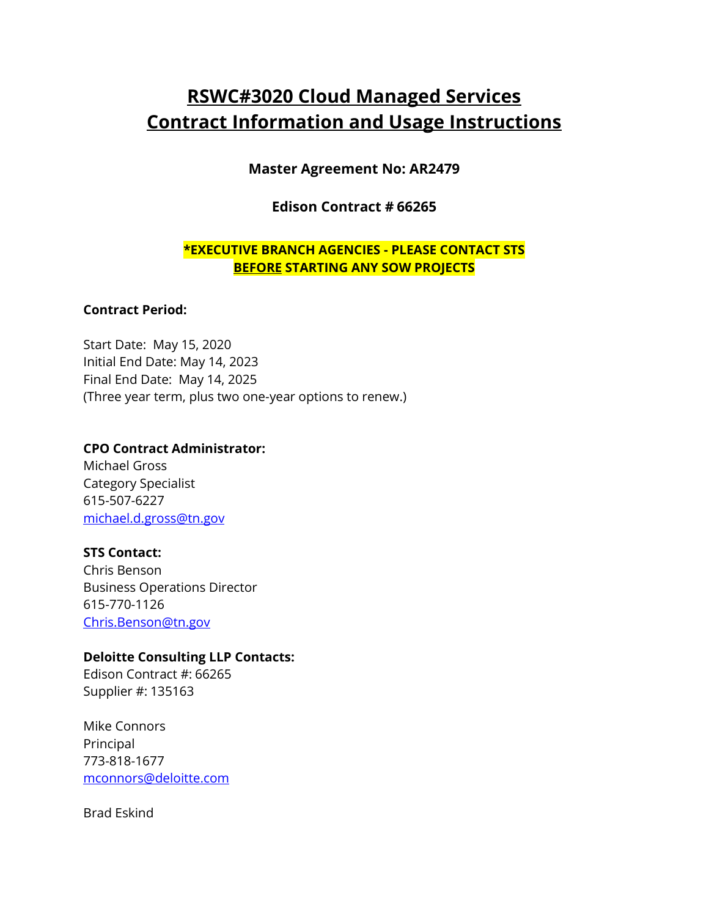# **RSWC#3020 Cloud Managed Services Contract Information and Usage Instructions**

### **Master Agreement No: AR2479**

### **Edison Contract # 66265**

### **\*EXECUTIVE BRANCH AGENCIES - PLEASE CONTACT STS BEFORE STARTING ANY SOW PROJECTS**

#### **Contract Period:**

Start Date: May 15, 2020 Initial End Date: May 14, 2023 Final End Date: May 14, 2025 (Three year term, plus two one-year options to renew.)

#### **CPO Contract Administrator:**

Michael Gross Category Specialist 615-507-6227 [michael.d.gross@tn.gov](mailto:michael.d.gross@tn.gov)

### **STS Contact:**

Chris Benson Business Operations Director 615-770-1126 [Chris.Benson@tn.gov](mailto:Chris.Benson@tn.gov)

### **Deloitte Consulting LLP Contacts:**

Edison Contract #: 66265 Supplier #: 135163

Mike Connors Principal 773-818-1677 [mconnors@deloitte.com](mailto:mconnors@deloitte.com)

Brad Eskind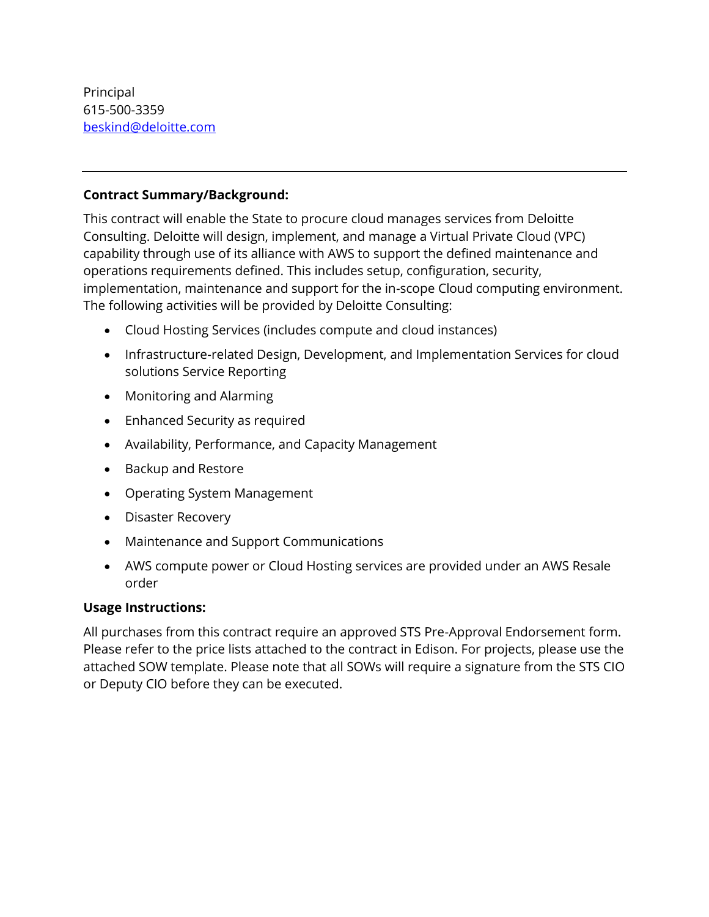### **Contract Summary/Background:**

This contract will enable the State to procure cloud manages services from Deloitte Consulting. Deloitte will design, implement, and manage a Virtual Private Cloud (VPC) capability through use of its alliance with AWS to support the defined maintenance and operations requirements defined. This includes setup, configuration, security, implementation, maintenance and support for the in-scope Cloud computing environment. The following activities will be provided by Deloitte Consulting:

- Cloud Hosting Services (includes compute and cloud instances)
- Infrastructure-related Design, Development, and Implementation Services for cloud solutions Service Reporting
- Monitoring and Alarming
- Enhanced Security as required
- Availability, Performance, and Capacity Management
- Backup and Restore
- Operating System Management
- Disaster Recovery
- Maintenance and Support Communications
- AWS compute power or Cloud Hosting services are provided under an AWS Resale order

### **Usage Instructions:**

All purchases from this contract require an approved STS Pre-Approval Endorsement form. Please refer to the price lists attached to the contract in Edison. For projects, please use the attached SOW template. Please note that all SOWs will require a signature from the STS CIO or Deputy CIO before they can be executed.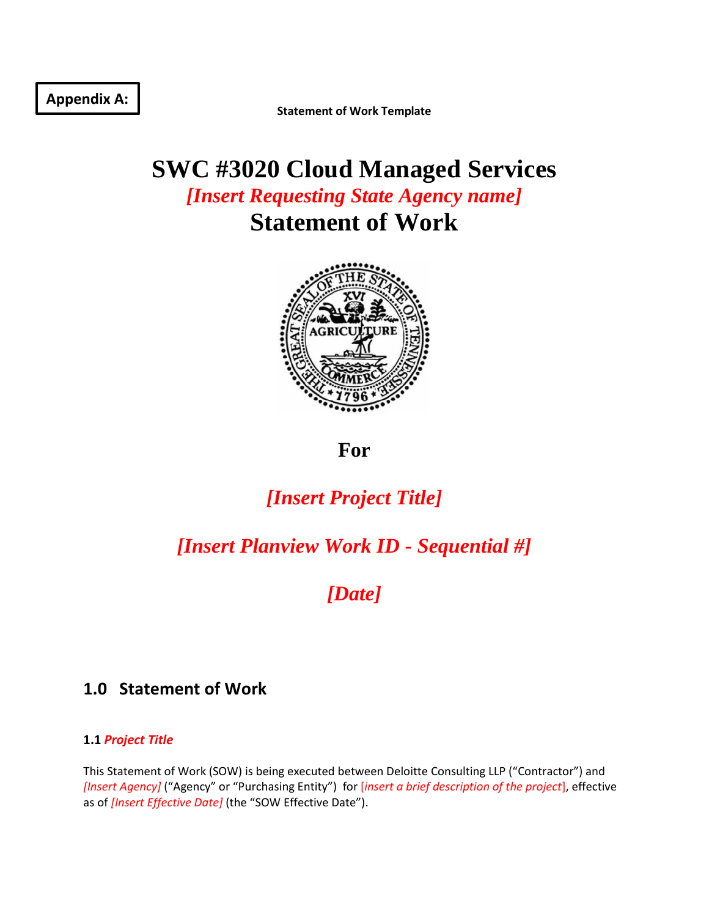**Appendix A:**

**Statement of Work Template**

# **SWC #3020 Cloud Managed Services**  *[Insert Requesting State Agency name]* **Statement of Work**



## **For**

# *[Insert Project Title]*

# *[Insert Planview Work ID - Sequential #]*

# *[Date]*

## **1.0 Statement of Work**

#### **1.1** *Project Title*

This Statement of Work (SOW) is being executed between Deloitte Consulting LLP ("Contractor") and *[Insert Agency]* ("Agency" or "Purchasing Entity") for [*insert a brief description of the project*], effective as of *[Insert Effective Date]* (the "SOW Effective Date").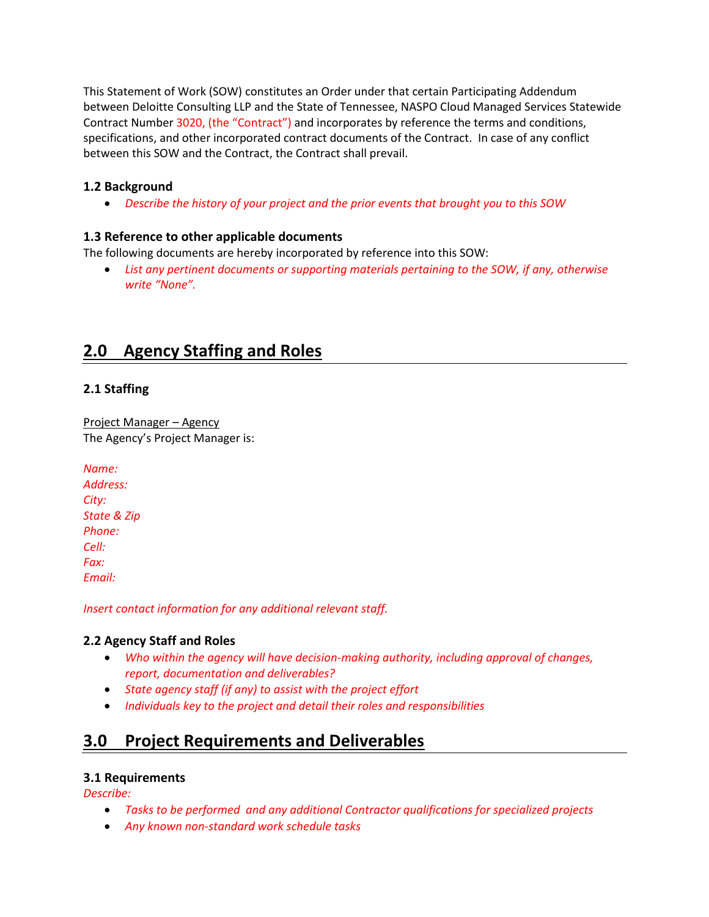This Statement of Work (SOW) constitutes an Order under that certain Participating Addendum between Deloitte Consulting LLP and the State of Tennessee, NASPO Cloud Managed Services Statewide Contract Number 3020, (the "Contract") and incorporates by reference the terms and conditions, specifications, and other incorporated contract documents of the Contract. In case of any conflict between this SOW and the Contract, the Contract shall prevail.

### **1.2 Background**

• *Describe the history of your project and the prior events that brought you to this SOW*

### **1.3 Reference to other applicable documents**

The following documents are hereby incorporated by reference into this SOW:

• *List any pertinent documents or supporting materials pertaining to the SOW, if any, otherwise write "None".*

## **2.0 Agency Staffing and Roles**

### **2.1 Staffing**

Project Manager – Agency The Agency's Project Manager is:

*Name: Address: City: State & Zip Phone: Cell: Fax: Email:*

*Insert contact information for any additional relevant staff.*

#### **2.2 Agency Staff and Roles**

- *Who within the agency will have decision-making authority, including approval of changes, report, documentation and deliverables?*
- *State agency staff (if any) to assist with the project effort*
- *Individuals key to the project and detail their roles and responsibilities*

## **3.0 Project Requirements and Deliverables**

#### **3.1 Requirements**

*Describe:*

- *Tasks to be performed and any additional Contractor qualifications for specialized projects*
- *Any known non-standard work schedule tasks*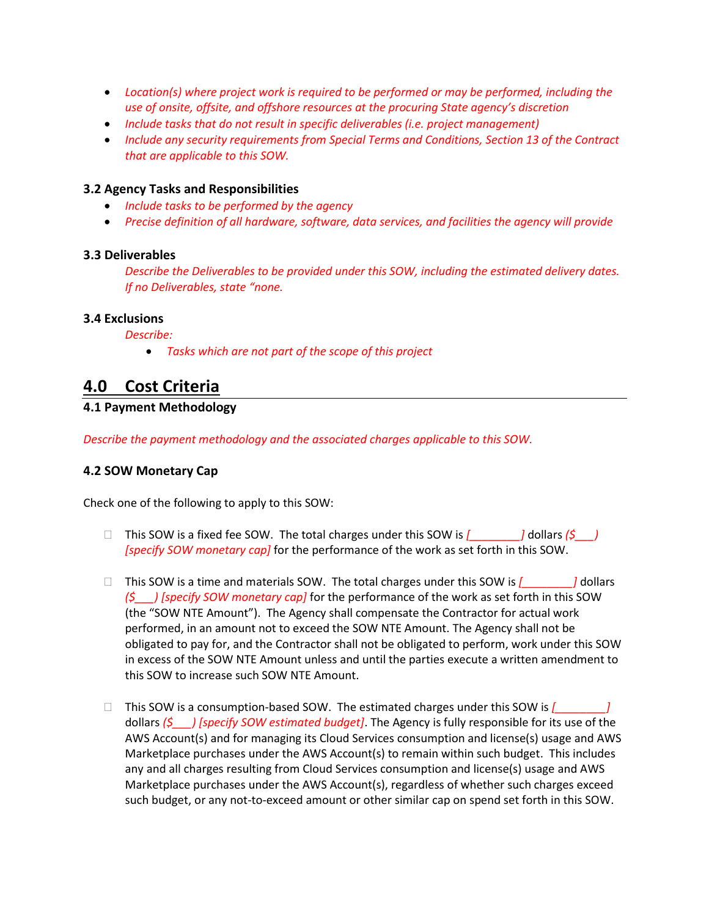- *Location(s) where project work is required to be performed or may be performed, including the use of onsite, offsite, and offshore resources at the procuring State agency's discretion*
- *Include tasks that do not result in specific deliverables (i.e. project management)*
- *Include any security requirements from Special Terms and Conditions, Section 13 of the Contract that are applicable to this SOW.*

#### **3.2 Agency Tasks and Responsibilities**

- *Include tasks to be performed by the agency*
- *Precise definition of all hardware, software, data services, and facilities the agency will provide*

#### **3.3 Deliverables**

*Describe the Deliverables to be provided under this SOW, including the estimated delivery dates. If no Deliverables, state "none.*

#### **3.4 Exclusions**

*Describe:*

• *Tasks which are not part of the scope of this project*

### **4.0 Cost Criteria**

#### **4.1 Payment Methodology**

*Describe the payment methodology and the associated charges applicable to this SOW.*

#### **4.2 SOW Monetary Cap**

Check one of the following to apply to this SOW:

- □ This SOW is a fixed fee SOW. The total charges under this SOW is *[\_\_\_\_\_\_\_\_\_\_]* dollars (\$\_\_\_*) [specify SOW monetary cap]* for the performance of the work as set forth in this SOW.
- □ This SOW is a time and materials SOW. The total charges under this SOW is *[\_\_\_\_\_\_\_\_\_]* dollars *(\$\_\_\_) [specify SOW monetary cap]* for the performance of the work as set forth in this SOW (the "SOW NTE Amount"). The Agency shall compensate the Contractor for actual work performed, in an amount not to exceed the SOW NTE Amount. The Agency shall not be obligated to pay for, and the Contractor shall not be obligated to perform, work under this SOW in excess of the SOW NTE Amount unless and until the parties execute a written amendment to this SOW to increase such SOW NTE Amount.
- This SOW is a consumption-based SOW. The estimated charges under this SOW is *[\_\_\_\_\_\_\_\_]* dollars *(\$\_\_\_) [specify SOW estimated budget]*. The Agency is fully responsible for its use of the AWS Account(s) and for managing its Cloud Services consumption and license(s) usage and AWS Marketplace purchases under the AWS Account(s) to remain within such budget. This includes any and all charges resulting from Cloud Services consumption and license(s) usage and AWS Marketplace purchases under the AWS Account(s), regardless of whether such charges exceed such budget, or any not-to-exceed amount or other similar cap on spend set forth in this SOW.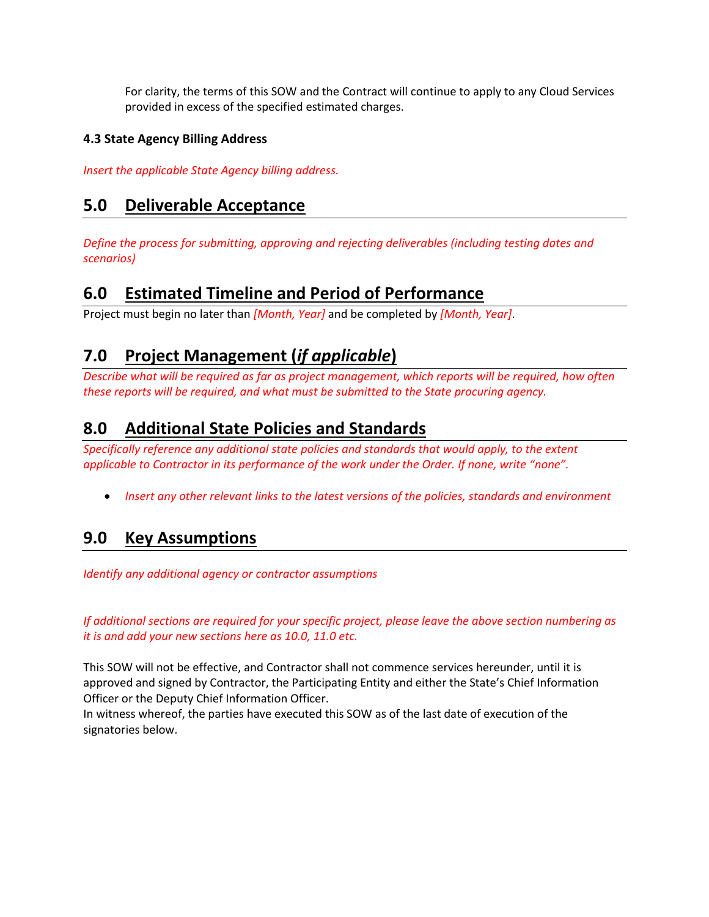For clarity, the terms of this SOW and the Contract will continue to apply to any Cloud Services provided in excess of the specified estimated charges.

### **4.3 State Agency Billing Address**

*Insert the applicable State Agency billing address.*

### **5.0 Deliverable Acceptance**

*Define the process for submitting, approving and rejecting deliverables (including testing dates and scenarios)*

### **6.0 Estimated Timeline and Period of Performance**

Project must begin no later than *[Month, Year]* and be completed by *[Month, Year]*.

## **7.0 Project Management (***if applicable***)**

*Describe what will be required as far as project management, which reports will be required, how often these reports will be required, and what must be submitted to the State procuring agency.* 

### **8.0 Additional State Policies and Standards**

*Specifically reference any additional state policies and standards that would apply, to the extent applicable to Contractor in its performance of the work under the Order. If none, write "none".*

• *Insert any other relevant links to the latest versions of the policies, standards and environment*

### **9.0 Key Assumptions**

*Identify any additional agency or contractor assumptions*

*If additional sections are required for your specific project, please leave the above section numbering as it is and add your new sections here as 10.0, 11.0 etc.*

This SOW will not be effective, and Contractor shall not commence services hereunder, until it is approved and signed by Contractor, the Participating Entity and either the State's Chief Information Officer or the Deputy Chief Information Officer.

In witness whereof, the parties have executed this SOW as of the last date of execution of the signatories below.